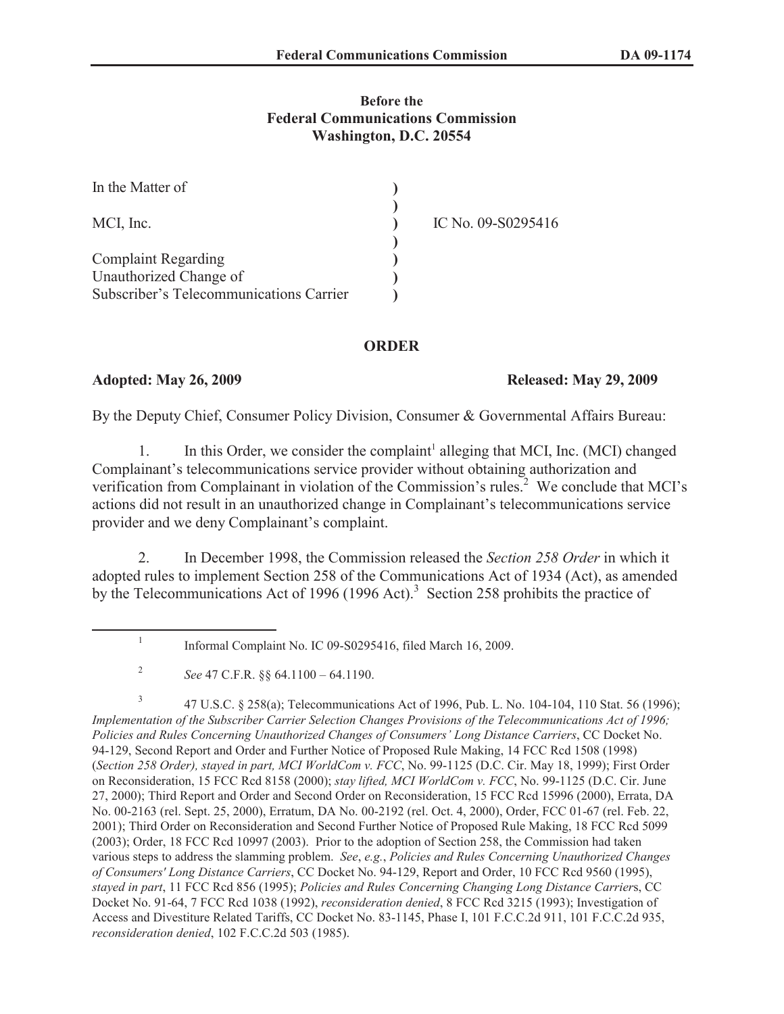## **Before the Federal Communications Commission Washington, D.C. 20554**

| In the Matter of                        |                    |
|-----------------------------------------|--------------------|
| MCI, Inc.                               | IC No. 09-S0295416 |
|                                         |                    |
| <b>Complaint Regarding</b>              |                    |
| Unauthorized Change of                  |                    |
| Subscriber's Telecommunications Carrier |                    |

## **ORDER**

## **Adopted: May 26, 2009 Released: May 29, 2009**

By the Deputy Chief, Consumer Policy Division, Consumer & Governmental Affairs Bureau:

1. In this Order, we consider the complaint<sup>1</sup> alleging that MCI, Inc. (MCI) changed Complainant's telecommunications service provider without obtaining authorization and verification from Complainant in violation of the Commission's rules.<sup>2</sup> We conclude that MCI's actions did not result in an unauthorized change in Complainant's telecommunications service provider and we deny Complainant's complaint.

2. In December 1998, the Commission released the *Section 258 Order* in which it adopted rules to implement Section 258 of the Communications Act of 1934 (Act), as amended by the Telecommunications Act of 1996 (1996 Act).<sup>3</sup> Section 258 prohibits the practice of

<sup>1</sup> Informal Complaint No. IC 09-S0295416, filed March 16, 2009.

<sup>2</sup> *See* 47 C.F.R. §§ 64.1100 – 64.1190.

<sup>3</sup> 47 U.S.C. § 258(a); Telecommunications Act of 1996, Pub. L. No. 104-104, 110 Stat. 56 (1996); *Implementation of the Subscriber Carrier Selection Changes Provisions of the Telecommunications Act of 1996; Policies and Rules Concerning Unauthorized Changes of Consumers' Long Distance Carriers*, CC Docket No. 94-129, Second Report and Order and Further Notice of Proposed Rule Making, 14 FCC Rcd 1508 (1998) (*Section 258 Order), stayed in part, MCI WorldCom v. FCC*, No. 99-1125 (D.C. Cir. May 18, 1999); First Order on Reconsideration, 15 FCC Rcd 8158 (2000); *stay lifted, MCI WorldCom v. FCC*, No. 99-1125 (D.C. Cir. June 27, 2000); Third Report and Order and Second Order on Reconsideration, 15 FCC Rcd 15996 (2000), Errata, DA No. 00-2163 (rel. Sept. 25, 2000), Erratum, DA No. 00-2192 (rel. Oct. 4, 2000), Order, FCC 01-67 (rel. Feb. 22, 2001); Third Order on Reconsideration and Second Further Notice of Proposed Rule Making, 18 FCC Rcd 5099 (2003); Order, 18 FCC Rcd 10997 (2003). Prior to the adoption of Section 258, the Commission had taken various steps to address the slamming problem. *See*, *e.g.*, *Policies and Rules Concerning Unauthorized Changes of Consumers' Long Distance Carriers*, CC Docket No. 94-129, Report and Order, 10 FCC Rcd 9560 (1995), *stayed in part*, 11 FCC Rcd 856 (1995); *Policies and Rules Concerning Changing Long Distance Carrier*s, CC Docket No. 91-64, 7 FCC Rcd 1038 (1992), *reconsideration denied*, 8 FCC Rcd 3215 (1993); Investigation of Access and Divestiture Related Tariffs, CC Docket No. 83-1145, Phase I, 101 F.C.C.2d 911, 101 F.C.C.2d 935, *reconsideration denied*, 102 F.C.C.2d 503 (1985).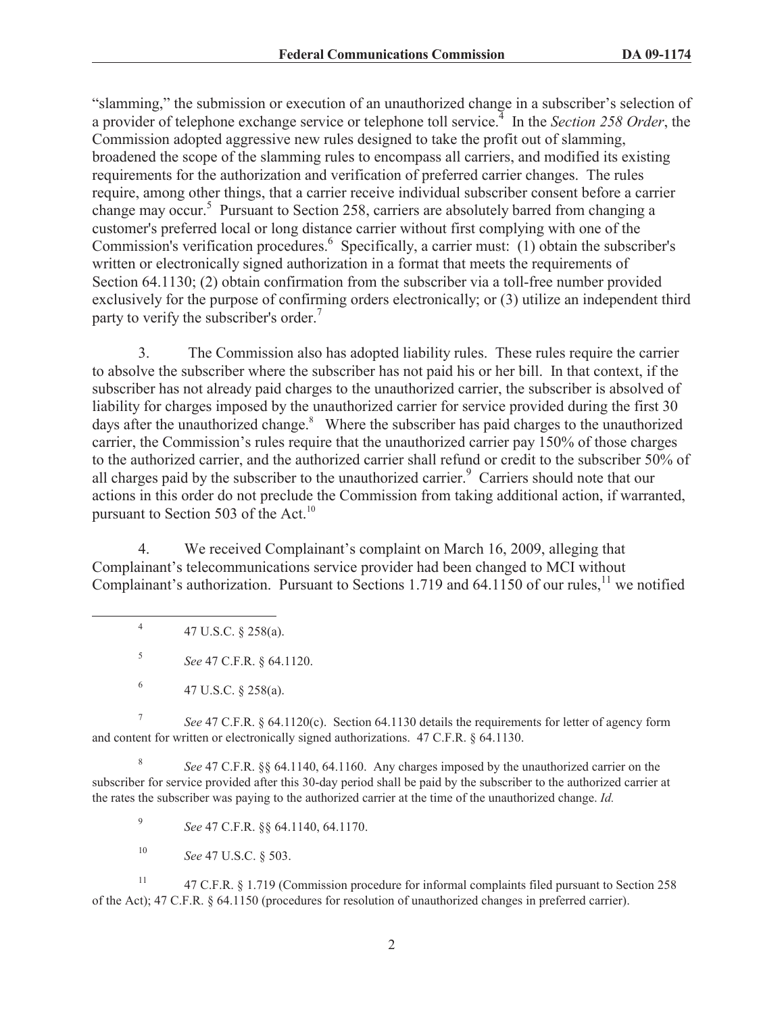"slamming," the submission or execution of an unauthorized change in a subscriber's selection of a provider of telephone exchange service or telephone toll service.<sup>4</sup> In the *Section 258 Order*, the Commission adopted aggressive new rules designed to take the profit out of slamming, broadened the scope of the slamming rules to encompass all carriers, and modified its existing requirements for the authorization and verification of preferred carrier changes. The rules require, among other things, that a carrier receive individual subscriber consent before a carrier change may occur.<sup>5</sup> Pursuant to Section 258, carriers are absolutely barred from changing a customer's preferred local or long distance carrier without first complying with one of the Commission's verification procedures.<sup>6</sup> Specifically, a carrier must: (1) obtain the subscriber's written or electronically signed authorization in a format that meets the requirements of Section 64.1130; (2) obtain confirmation from the subscriber via a toll-free number provided exclusively for the purpose of confirming orders electronically; or (3) utilize an independent third party to verify the subscriber's order.<sup>7</sup>

3. The Commission also has adopted liability rules. These rules require the carrier to absolve the subscriber where the subscriber has not paid his or her bill. In that context, if the subscriber has not already paid charges to the unauthorized carrier, the subscriber is absolved of liability for charges imposed by the unauthorized carrier for service provided during the first 30 days after the unauthorized change. $8$  Where the subscriber has paid charges to the unauthorized carrier, the Commission's rules require that the unauthorized carrier pay 150% of those charges to the authorized carrier, and the authorized carrier shall refund or credit to the subscriber 50% of all charges paid by the subscriber to the unauthorized carrier.<sup>9</sup> Carriers should note that our actions in this order do not preclude the Commission from taking additional action, if warranted, pursuant to Section 503 of the Act.<sup>10</sup>

4. We received Complainant's complaint on March 16, 2009, alleging that Complainant's telecommunications service provider had been changed to MCI without Complainant's authorization. Pursuant to Sections 1.719 and 64.1150 of our rules,<sup>11</sup> we notified

7 *See* 47 C.F.R. § 64.1120(c). Section 64.1130 details the requirements for letter of agency form and content for written or electronically signed authorizations. 47 C.F.R. § 64.1130.

8 *See* 47 C.F.R. §§ 64.1140, 64.1160. Any charges imposed by the unauthorized carrier on the subscriber for service provided after this 30-day period shall be paid by the subscriber to the authorized carrier at the rates the subscriber was paying to the authorized carrier at the time of the unauthorized change. *Id.*

9 *See* 47 C.F.R. §§ 64.1140, 64.1170.

<sup>10</sup> *See* 47 U.S.C. § 503.

<sup>11</sup> 47 C.F.R. § 1.719 (Commission procedure for informal complaints filed pursuant to Section 258 of the Act); 47 C.F.R. § 64.1150 (procedures for resolution of unauthorized changes in preferred carrier).

<sup>4</sup> 47 U.S.C. § 258(a).

<sup>5</sup> *See* 47 C.F.R. § 64.1120.

<sup>6</sup> 47 U.S.C. § 258(a).